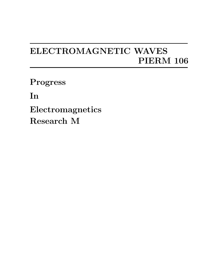## **ELECTROMAGNETIC WAVES PIERM 106**

**Progress**

**In**

**Electromagnetics Research M**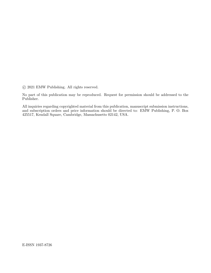*⃝*c 2021 EMW Publishing. All rights reserved.

No part of this publication may be reproduced. Request for permission should be addressed to the Publisher.

All inquiries regarding copyrighted material from this publication, manuscript submission instructions, and subscription orders and price information should be directed to: EMW Publishing, P. O. Box 425517, Kendall Square, Cambridge, Massachusetts 02142, USA.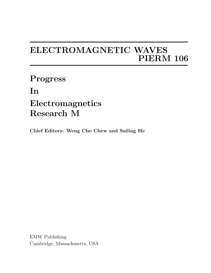## **ELECTROMAGNETIC WAVES PIERM 106**

**Progress In Electromagnetics Research M**

**Chief Editors: Weng Cho Chew and Sailing He**

EMW Publishing Cambridge, Massachusetts, USA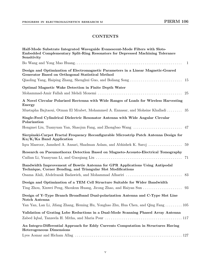## **CONTENTS**

| Half-Mode Substrate Integrated Waveguide Evanescent-Mode Filters with Slots-<br>Embedded Complementary Split-Ring Resonators for Depressed Machining Tolerance<br>Sensitivity |
|-------------------------------------------------------------------------------------------------------------------------------------------------------------------------------|
|                                                                                                                                                                               |
| Design and Optimization of Electromagnetic Parameters in a Linear Magnetic-Geared<br>Generator Based on Orthogonal Statistical Method                                         |
|                                                                                                                                                                               |
| Optimal Magnetic Wake Detection in Finite Depth Water<br>25                                                                                                                   |
| A Novel Circular Polarized Rectenna with Wide Ranges of Loads for Wireless Harvesting<br><b>Energy</b>                                                                        |
| Mustapha Bajtaoui, Otman El Mrabet, Mohammed A. Ennasar, and Mohsine Khalladi  35                                                                                             |
| Single-Feed Cylindrical Dielectric Resonator Antenna with Wide Angular Circular<br>Polarization                                                                               |
|                                                                                                                                                                               |
| Sierpinski-Carpet Fractal Frequency Reconfigurable Microstrip Patch Antenna Design for<br>Ku/K/Ka Band Application                                                            |
| Iqra Masroor, Jamshed A. Ansari, Shadman Aslam, and Abhishek K. Saroj<br>59                                                                                                   |
| Research on Pneumothorax Detection Based on Magneto-Acousto-Electrical Tomography<br>71                                                                                       |
| Bandwidth Improvement of Bowtie Antenna for GPR Applications Using Antipodal<br>Technique, Corner Bending, and Triangular Slot Modifications                                  |
| Osama Alali, Abdelrazak Badawieh, and Mohammad Alhariri<br>83                                                                                                                 |
| Design and Optimization of a TEM Cell Structure Suitable for Wider Bandwidth                                                                                                  |
|                                                                                                                                                                               |
| Design of Y-Type Branch Broadband Dual-polarization Antenna and C-Type Slot Line<br>Notch Antenna                                                                             |
| Yan Yan, Lan Li, Jifang Zhang, Heming Hu, Yonghao Zhu, Hua Chen, and Qing Fang  105                                                                                           |
| Validation of Grating Lobe Reductions in a Dual-Mode Scanning Phased Array Antenna                                                                                            |
|                                                                                                                                                                               |
| An Integro-Differential Approach for Eddy Currents Computation in Structures Having<br><b>Heterogeneous Dimensions</b>                                                        |
|                                                                                                                                                                               |